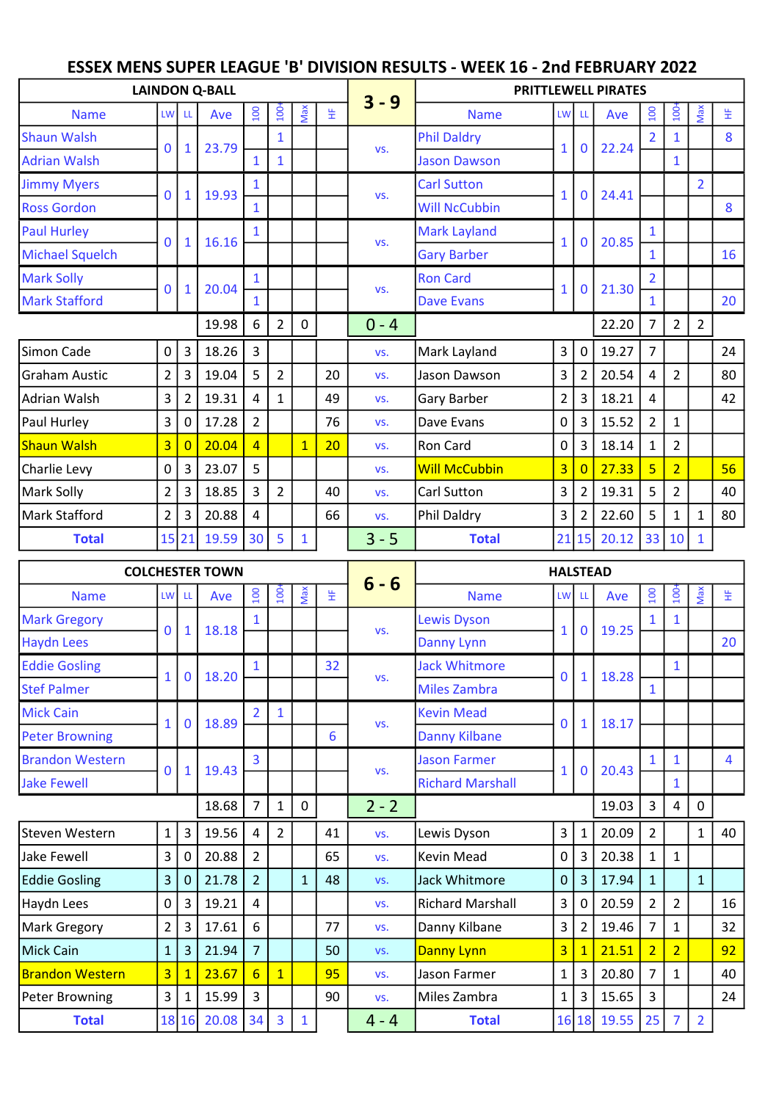## ESSEX MENS SUPER LEAGUE 'B' DIVISION RESULTS - WEEK 16 - 2nd FEBRUARY 2022

|                        |                |                | <b>LAINDON Q-BALL</b> |                |                  |              |    |         | <b>PRITTLEWELL PIRATES</b> |                |                |       |                |                  |                |    |  |
|------------------------|----------------|----------------|-----------------------|----------------|------------------|--------------|----|---------|----------------------------|----------------|----------------|-------|----------------|------------------|----------------|----|--|
| <b>Name</b>            | <b>LW</b>      | LL             | Ave                   | 100            | 100 <sup>2</sup> | Max          | 生  | $3 - 9$ | <b>Name</b>                |                | LW LL          | Ave   | 100            | $\overline{100}$ | Max            | 뚶  |  |
| <b>Shaun Walsh</b>     | $\mathbf 0$    | $\mathbf{1}$   | 23.79                 |                | $\mathbf{1}$     |              |    |         | <b>Phil Daldry</b>         | $\mathbf{1}$   | $\bf{0}$       | 22.24 |                |                  |                | 8  |  |
| <b>Adrian Walsh</b>    |                |                |                       | $\mathbf{1}$   | $\mathbf{1}$     |              |    | VS.     | <b>Jason Dawson</b>        |                |                |       |                | $\mathbf{1}$     |                |    |  |
| <b>Jimmy Myers</b>     | $\mathbf{0}$   | $\mathbf{1}$   | 19.93                 |                |                  |              |    | VS.     | <b>Carl Sutton</b>         | $\mathbf{1}$   | $\mathbf{0}$   | 24.41 |                |                  | $\overline{2}$ |    |  |
| <b>Ross Gordon</b>     |                |                |                       | $\mathbf{1}$   |                  |              |    |         | <b>Will NcCubbin</b>       |                |                |       |                |                  |                | 8  |  |
| <b>Paul Hurley</b>     | $\mathbf 0$    | $\mathbf{1}$   | 16.16                 | $\mathbf{1}$   |                  |              |    | VS.     | <b>Mark Layland</b>        | $\mathbf{1}$   | 0              | 20.85 | $\mathbf{1}$   |                  |                |    |  |
| <b>Michael Squelch</b> |                |                |                       |                |                  |              |    |         | <b>Gary Barber</b>         |                |                |       | $\mathbf{1}$   |                  |                | 16 |  |
| <b>Mark Solly</b>      | $\mathbf{0}$   | $\mathbf 1$    | 20.04                 | $\mathbf{1}$   |                  |              |    | VS.     | <b>Ron Card</b>            | $\mathbf{1}$   | $\mathbf 0$    | 21.30 | $\overline{2}$ |                  |                |    |  |
| <b>Mark Stafford</b>   |                |                |                       | $\mathbf{1}$   |                  |              |    |         | <b>Dave Evans</b>          |                |                |       | $\mathbf{1}$   |                  |                | 20 |  |
|                        |                |                | 19.98                 | 6              | $\overline{2}$   | 0            |    | $0 - 4$ |                            |                |                | 22.20 | $\overline{7}$ | $\overline{2}$   | $\overline{2}$ |    |  |
| Simon Cade             | $\mathbf 0$    | 3              | 18.26                 | $\overline{3}$ |                  |              |    | VS.     | Mark Layland               | $\overline{3}$ | $\mathbf 0$    | 19.27 | $\overline{7}$ |                  |                | 24 |  |
| <b>Graham Austic</b>   | $\overline{2}$ | 3              | 19.04                 | 5              | $\overline{2}$   |              | 20 | VS.     | Jason Dawson               | 3              | $\overline{2}$ | 20.54 | 4              | $\overline{2}$   |                | 80 |  |
| Adrian Walsh           | $\mathsf{3}$   | 2              | 19.31                 | 4              | 1                |              | 49 | VS.     | Gary Barber                | $\overline{2}$ | 3              | 18.21 | 4              |                  |                | 42 |  |
| Paul Hurley            | $\overline{3}$ | $\mathbf 0$    | 17.28                 | $\overline{2}$ |                  |              | 76 | VS.     | Dave Evans                 | $\mathsf 0$    | 3              | 15.52 | $\overline{2}$ | $\mathbf{1}$     |                |    |  |
| <b>Shaun Walsh</b>     | $\overline{3}$ | $\overline{0}$ | 20.04                 | $\overline{4}$ |                  | $\mathbf{1}$ | 20 | VS.     | Ron Card                   | $\mathbf 0$    | 3              | 18.14 | $\mathbf{1}$   | $\overline{2}$   |                |    |  |
| Charlie Levy           | 0              | 3              | 23.07                 | 5              |                  |              |    | VS.     | <b>Will McCubbin</b>       | 3              | $\overline{0}$ | 27.33 | $\overline{5}$ | $\overline{2}$   |                | 56 |  |
| Mark Solly             | $\overline{2}$ | 3              | 18.85                 | $\overline{3}$ | $\overline{2}$   |              | 40 | VS.     | Carl Sutton                | 3              | $\overline{2}$ | 19.31 | 5              | $\overline{2}$   |                | 40 |  |
| Mark Stafford          | $\overline{2}$ | 3              | 20.88                 | $\overline{4}$ |                  |              | 66 | VS.     | Phil Daldry                | 3              | $\overline{2}$ | 22.60 | 5              | $\mathbf{1}$     | $\mathbf{1}$   | 80 |  |
| <b>Total</b>           |                | 15 21          | 19.59                 | 30             | 5                | $\mathbf{1}$ |    | $3 - 5$ | <b>Total</b>               |                | 21 15          | 20.12 | 33             | 10               | 1              |    |  |

|                        |                |                | <b>COLCHESTER TOWN</b> |                  |                  |              |    |         | <b>HALSTEAD</b>         |                |                  |       |                |                |                |    |  |  |  |
|------------------------|----------------|----------------|------------------------|------------------|------------------|--------------|----|---------|-------------------------|----------------|------------------|-------|----------------|----------------|----------------|----|--|--|--|
| <b>Name</b>            |                | LW LL          | Ave                    | $\overline{100}$ | $\overline{100}$ | Max          | 뚶  | $6 - 6$ | <b>Name</b>             | LW LL          |                  | Ave   | <b>OOT</b>     | $100+$         | Max            | 뚶  |  |  |  |
| <b>Mark Gregory</b>    | $\Omega$       | $\mathbf{1}$   | 18.18                  |                  |                  |              |    |         | <b>Lewis Dyson</b>      |                | $\bf{0}$         | 19.25 |                | $\mathbf{1}$   |                |    |  |  |  |
| <b>Haydn Lees</b>      |                |                |                        |                  |                  |              |    | VS.     | Danny Lynn              |                |                  |       |                |                |                | 20 |  |  |  |
| <b>Eddie Gosling</b>   | $\mathbf{1}$   | $\mathbf 0$    | 18.20                  | 1                |                  |              | 32 | VS.     | <b>Jack Whitmore</b>    | 0              | $\mathbf{1}$     | 18.28 |                | $\mathbf{1}$   |                |    |  |  |  |
| <b>Stef Palmer</b>     |                |                |                        |                  |                  |              |    |         | <b>Miles Zambra</b>     |                |                  |       | $\mathbf{1}$   |                |                |    |  |  |  |
| <b>Mick Cain</b>       | $\mathbf{1}$   | $\mathbf 0$    | 18.89                  | $\overline{2}$   | $\mathbf{1}$     |              |    | VS.     | <b>Kevin Mead</b>       | $\Omega$       | $\mathbf 1$      | 18.17 |                |                |                |    |  |  |  |
| <b>Peter Browning</b>  |                |                |                        |                  |                  |              | 6  |         | <b>Danny Kilbane</b>    |                |                  |       |                |                |                |    |  |  |  |
| <b>Brandon Western</b> | $\mathbf{0}$   | $\mathbf{1}$   | 19.43                  | 3                |                  |              |    | VS.     | <b>Jason Farmer</b>     |                | $\mathbf{0}$     | 20.43 | $\mathbf{1}$   | $\mathbf{1}$   |                | 4  |  |  |  |
| <b>Jake Fewell</b>     |                |                |                        |                  |                  |              |    |         | <b>Richard Marshall</b> |                |                  |       |                | $\mathbf{1}$   |                |    |  |  |  |
|                        |                |                | 18.68                  | $\overline{7}$   | $\mathbf{1}$     | 0            |    | $2 - 2$ |                         |                |                  | 19.03 | $\overline{3}$ | 4              | $\mathbf 0$    |    |  |  |  |
| lSteven Western        | $\mathbf{1}$   | 3              | 19.56                  | 4                | $\overline{2}$   |              | 41 | VS.     | Lewis Dyson             | 3              | $\mathbf{1}$     | 20.09 | $\overline{2}$ |                | $\mathbf{1}$   | 40 |  |  |  |
| <b>Jake Fewell</b>     | 3              | 0              | 20.88                  | $\overline{2}$   |                  |              | 65 | VS.     | Kevin Mead              | $\mathbf 0$    | 3                | 20.38 | $\mathbf{1}$   | $\mathbf{1}$   |                |    |  |  |  |
| <b>Eddie Gosling</b>   | 3              | $\mathbf{0}$   | 21.78                  | $\overline{2}$   |                  | $\mathbf{1}$ | 48 | VS.     | <b>Jack Whitmore</b>    | $\mathbf{0}$   | 3                | 17.94 | $\mathbf{1}$   |                | $\mathbf{1}$   |    |  |  |  |
| Haydn Lees             | 0              | 3 <sup>1</sup> | 19.21                  | 4                |                  |              |    | VS.     | <b>Richard Marshall</b> | 3              | $\boldsymbol{0}$ | 20.59 | $\overline{2}$ | $\overline{2}$ |                | 16 |  |  |  |
| Mark Gregory           | $\overline{2}$ | $\mathbf{3}$   | 17.61                  | 6                |                  |              | 77 | VS.     | Danny Kilbane           | 3              | $\overline{2}$   | 19.46 | $\overline{7}$ | $\mathbf{1}$   |                | 32 |  |  |  |
| Mick Cain              | $\mathbf{1}$   | $\overline{3}$ | 21.94                  | $\overline{7}$   |                  |              | 50 | VS.     | Danny Lynn              | $\overline{3}$ | $\overline{1}$   | 21.51 | $\overline{2}$ | $\overline{2}$ |                | 92 |  |  |  |
| <b>Brandon Western</b> | $\overline{3}$ | 1              | 23.67                  | $6 \overline{}$  | $\overline{1}$   |              | 95 | VS.     | Jason Farmer            | $\mathbf{1}$   | 3                | 20.80 | $\overline{7}$ | $\mathbf{1}$   |                | 40 |  |  |  |
| Peter Browning         | 3              | $1\vert$       | 15.99                  | 3                |                  |              | 90 | VS.     | Miles Zambra            | 1              | 3                | 15.65 | $\overline{3}$ |                |                | 24 |  |  |  |
| <b>Total</b>           |                | 18 16          | 20.08                  | 34               | 3                | $\mathbf{1}$ |    | $4 - 4$ | <b>Total</b>            |                | 16 18            | 19.55 | 25             | $\overline{7}$ | $\overline{2}$ |    |  |  |  |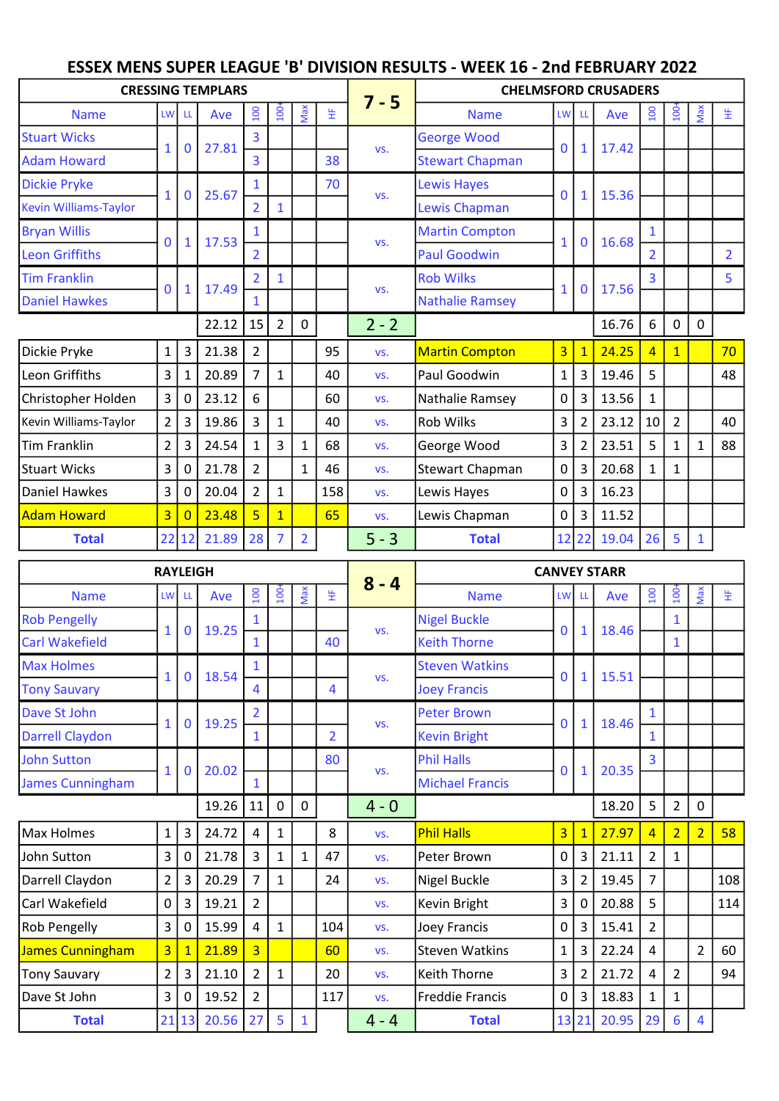## ESSEX MENS SUPER LEAGUE 'B' DIVISION RESULTS - WEEK 16 - 2nd FEBRUARY 2022

|                              |                 |                | <b>CRESSING TEMPLARS</b> |                  |                  |                |                |         | <b>CHELMSFORD CRUSADERS</b> |                |                         |       |                  |                |                         |                |  |  |  |
|------------------------------|-----------------|----------------|--------------------------|------------------|------------------|----------------|----------------|---------|-----------------------------|----------------|-------------------------|-------|------------------|----------------|-------------------------|----------------|--|--|--|
| <b>Name</b>                  | <b>LW</b>       | -LL            | Ave                      | 100              | 100 <sup>2</sup> | Max            | 뚶              | $7 - 5$ | <b>Name</b>                 | LW LL          |                         | Ave   | $\overline{100}$ | 100            | Max                     | 뚶              |  |  |  |
| <b>Stuart Wicks</b>          |                 |                |                          | 3                |                  |                |                |         | <b>George Wood</b>          |                |                         | 17.42 |                  |                |                         |                |  |  |  |
| <b>Adam Howard</b>           | 1               | 0              | 27.81                    | $\overline{3}$   |                  |                | 38             | VS.     | <b>Stewart Chapman</b>      | 0              | 1                       |       |                  |                |                         |                |  |  |  |
| <b>Dickie Pryke</b>          |                 |                | 25.67                    | 1                |                  |                | 70             |         | <b>Lewis Hayes</b>          | 0              |                         | 15.36 |                  |                |                         |                |  |  |  |
| <b>Kevin Williams-Taylor</b> | $\mathbf{1}$    | 0              |                          | $\overline{2}$   | 1                |                |                | VS.     | Lewis Chapman               |                | 1                       |       |                  |                |                         |                |  |  |  |
| <b>Bryan Willis</b>          | $\Omega$        |                | 17.53                    | 1                |                  |                |                |         | <b>Martin Compton</b>       |                | $\mathbf 0$             | 16.68 | 1                |                |                         |                |  |  |  |
| Leon Griffiths               |                 |                |                          | $\overline{2}$   |                  |                |                | VS.     | <b>Paul Goodwin</b>         | 1              |                         |       | $\overline{2}$   |                |                         | $\overline{2}$ |  |  |  |
| <b>Tim Franklin</b>          | $\Omega$        |                | 17.49                    | $\overline{2}$   | 1                |                |                |         | <b>Rob Wilks</b>            |                |                         |       | 3                |                |                         | 5              |  |  |  |
| <b>Daniel Hawkes</b>         |                 | 1              |                          |                  |                  |                |                | VS.     | <b>Nathalie Ramsey</b>      | 1              | 0                       | 17.56 |                  |                |                         |                |  |  |  |
|                              |                 |                | 22.12                    | 15               | $\overline{2}$   | $\mathbf 0$    |                | $2 - 2$ |                             |                |                         | 16.76 | 6                | 0              | $\mathbf 0$             |                |  |  |  |
| Dickie Pryke                 | $\mathbf{1}$    | 3              | 21.38                    | $\overline{2}$   |                  |                | 95             | VS.     | <b>Martin Compton</b>       | $\overline{3}$ | $\overline{1}$          | 24.25 | $\overline{4}$   | $\mathbf{1}$   |                         | 70             |  |  |  |
| Leon Griffiths               | $\overline{3}$  | 1              | 20.89                    | $\overline{7}$   | $\mathbf{1}$     |                | 40             | VS.     | Paul Goodwin                | $\mathbf{1}$   | $\overline{3}$          | 19.46 | 5                |                |                         | 48             |  |  |  |
| Christopher Holden           | $\overline{3}$  | $\mathbf 0$    | 23.12                    | 6                |                  |                | 60             | VS.     | Nathalie Ramsey             | 0              | $\overline{3}$          | 13.56 | 1                |                |                         |                |  |  |  |
| Kevin Williams-Taylor        | $\overline{2}$  | 3              | 19.86                    | 3                | $\mathbf{1}$     |                | 40             | VS.     | Rob Wilks                   | 3              | $\overline{2}$          | 23.12 | 10               | $\overline{2}$ |                         | 40             |  |  |  |
| Tim Franklin                 | $\overline{2}$  | 3              | 24.54                    | 1                | 3                | 1              | 68             | VS.     | George Wood                 | 3              | $\overline{2}$          | 23.51 | 5                | $\mathbf{1}$   | $\mathbf{1}$            | 88             |  |  |  |
| Stuart Wicks                 | $\overline{3}$  | 0              | 21.78                    | $\overline{2}$   |                  | 1              | 46             | VS.     | <b>Stewart Chapman</b>      | $\mathsf{O}$   | $\overline{\mathbf{3}}$ | 20.68 |                  | 1              |                         |                |  |  |  |
| Daniel Hawkes                | $\overline{3}$  | 0              | 20.04                    | $\overline{2}$   | $\mathbf{1}$     |                | 158            | VS.     | Lewis Hayes                 | 0              | 3                       | 16.23 |                  |                |                         |                |  |  |  |
| <b>Adam Howard</b>           | $\overline{3}$  | $\overline{0}$ | 23.48                    | $\overline{5}$   | $\mathbf{1}$     |                | 65             | VS.     | Lewis Chapman               | 0              | $\overline{3}$          | 11.52 |                  |                |                         |                |  |  |  |
| <b>Total</b>                 | 22              | 12             | 21.89                    | 28               | $\overline{7}$   | $\overline{2}$ |                | $5 - 3$ | <b>Total</b>                |                | 12 22                   | 19.04 | 26               | 5              | $\mathbf{1}$            |                |  |  |  |
|                              | <b>RAYLEIGH</b> |                |                          |                  |                  |                |                |         | <b>CANVEY STARR</b>         |                |                         |       |                  |                |                         |                |  |  |  |
| <b>Name</b>                  | LW              | LL             | Ave                      | $\overline{100}$ | $100+$           | Max            | 뚶              | $8 - 4$ | <b>Name</b>                 | LW LL          |                         | Ave   | 100              | $100 -$        | Max                     | 뚶              |  |  |  |
| <b>Rob Pengelly</b>          |                 |                |                          | 1                |                  |                |                |         | <b>Nigel Buckle</b>         |                |                         |       |                  | 1              |                         |                |  |  |  |
| <b>Carl Wakefield</b>        | 1               | 0              | 19.25                    | 1                |                  |                | 40             | VS.     | <b>Keith Thorne</b>         | 0              | 1                       | 18.46 |                  | $\mathbf{1}$   |                         |                |  |  |  |
| <b>Max Holmes</b>            |                 |                |                          | 1                |                  |                |                |         | <b>Steven Watkins</b>       |                |                         |       |                  |                |                         |                |  |  |  |
| <b>Tony Sauvary</b>          | 1               | $\mathbf 0$    | 18.54                    | 4                |                  |                | 4              | VS.     | <b>Joey Francis</b>         | 0              | 1                       | 15.51 |                  |                |                         |                |  |  |  |
| Dave St John                 |                 |                |                          | $\overline{2}$   |                  |                |                |         | <b>Peter Brown</b>          |                |                         |       | $\mathbf{1}$     |                |                         |                |  |  |  |
| <b>Darrell Claydon</b>       | 1               | 0              | 19.25                    | $\mathbf{1}$     |                  |                | $\overline{2}$ | VS.     | <b>Kevin Bright</b>         | $\mathbf{0}$   | 1                       | 18.46 | $\mathbf{1}$     |                |                         |                |  |  |  |
| <b>John Sutton</b>           |                 |                |                          |                  |                  |                | 80             |         | <b>Phil Halls</b>           |                |                         |       | 3                |                |                         |                |  |  |  |
| <b>James Cunningham</b>      | $\mathbf{1}$    | 0              | 20.02                    | $\mathbf{1}$     |                  |                |                | VS.     | <b>Michael Francis</b>      | $\mathbf{0}$   | 1                       | 20.35 |                  |                |                         |                |  |  |  |
|                              |                 |                | 19.26                    | 11               | $\mathbf 0$      | $\mathbf 0$    |                | $4 - 0$ |                             |                |                         | 18.20 | 5                | $\overline{2}$ | 0                       |                |  |  |  |
| Max Holmes                   | $\mathbf{1}$    | $\mathsf 3$    | 24.72                    | 4                | 1                |                | 8              | VS.     | <b>Phil Halls</b>           | $\overline{3}$ | $\overline{1}$          | 27.97 | $\overline{4}$   | $\overline{2}$ | $\overline{2}$          | 58             |  |  |  |
| John Sutton                  | 3               | 0              | 21.78                    | 3                | 1                | $\mathbf{1}$   | 47             | VS.     | Peter Brown                 | 0              | $\overline{3}$          | 21.11 | $\overline{2}$   | 1              |                         |                |  |  |  |
| Darrell Claydon              | $\overline{a}$  | 3              | 20.29                    | 7                | $\mathbf{1}$     |                | 24             | VS.     | <b>Nigel Buckle</b>         | 3              | $\overline{2}$          | 19.45 | 7                |                |                         | 108            |  |  |  |
| Carl Wakefield               | 0               | 3              | 19.21                    | $\overline{2}$   |                  |                |                | VS.     | Kevin Bright                | 3              | 0                       | 20.88 | 5                |                |                         | 114            |  |  |  |
| <b>Rob Pengelly</b>          | 3               | 0              | 15.99                    | 4                | $\mathbf{1}$     |                | 104            | VS.     | <b>Joey Francis</b>         | 0              | 3                       | 15.41 | $\overline{2}$   |                |                         |                |  |  |  |
| James Cunningham             | $\overline{3}$  | 1              | 21.89                    | $\overline{3}$   |                  |                | 60             | VS.     | <b>Steven Watkins</b>       | $\mathbf{1}$   | 3                       | 22.24 | 4                |                | $\overline{2}$          | 60             |  |  |  |
| Tony Sauvary                 | $\overline{a}$  | 3              | 21.10                    | $\overline{2}$   | $\mathbf{1}$     |                | 20             | VS.     | Keith Thorne                | 3              | $\overline{2}$          | 21.72 | 4                | $\overline{2}$ |                         | 94             |  |  |  |
| Dave St John                 | 3               | 0              | 19.52                    | $\overline{2}$   |                  |                | 117            | VS.     | <b>Freddie Francis</b>      | 0              | 3                       | 18.83 | 1                | 1              |                         |                |  |  |  |
| <b>Total</b>                 | 21              |                | 20.56                    | 27               | 5                | $\mathbf{1}$   |                | $4 - 4$ | <b>Total</b>                | 13 21          |                         | 20.95 | 29               | $6\,$          | $\overline{\mathbf{4}}$ |                |  |  |  |